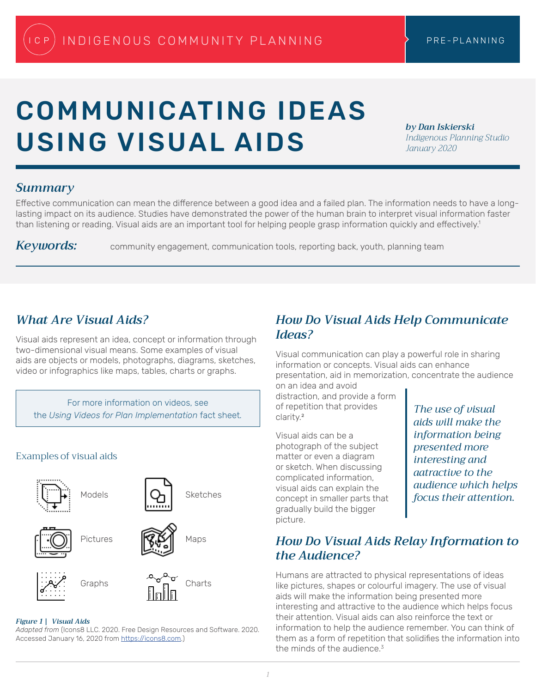# COMMUNICATING IDEAS USING VISUAL AIDS

*by Dan Iskierski Indigenous Planning Studio January 2020*

### *Summary*

Effective communication can mean the difference between a good idea and a failed plan. The information needs to have a longlasting impact on its audience. Studies have demonstrated the power of the human brain to interpret visual information faster than listening or reading. Visual aids are an important tool for helping people grasp information quickly and effectively.<sup>1</sup>

*Keywords:* community engagement, communication tools, reporting back, youth, planning team

# *What Are Visual Aids?*

Visual aids represent an idea, concept or information through two-dimensional visual means. Some examples of visual aids are objects or models, photographs, diagrams, sketches, video or infographics like maps, tables, charts or graphs.

For more information on videos, see the *Using Videos for Plan Implementation* fact sheet*.*

# Examples of visual aids



### *Figure 1 | Visual Aids*

*Adapted from* (Icons8 LLC. 2020. Free Design Resources and Software. 2020. Accessed January 16, 2020 from https://icons8.com.)

## *How Do Visual Aids Help Communicate Ideas?*

Visual communication can play a powerful role in sharing information or concepts. Visual aids can enhance presentation, aid in memorization, concentrate the audience on an idea and avoid

distraction, and provide a form of repetition that provides clarity<sup>2</sup>

Visual aids can be a photograph of the subject matter or even a diagram or sketch. When discussing complicated information, visual aids can explain the concept in smaller parts that gradually build the bigger picture.

*The use of visual aids will make the information being presented more interesting and aatractive to the audience which helps focus their attention.*

## *How Do Visual Aids Relay Information to the Audience?*

Humans are attracted to physical representations of ideas like pictures, shapes or colourful imagery. The use of visual aids will make the information being presented more interesting and attractive to the audience which helps focus their attention. Visual aids can also reinforce the text or information to help the audience remember. You can think of them as a form of repetition that solidifies the information into the minds of the audience.<sup>3</sup>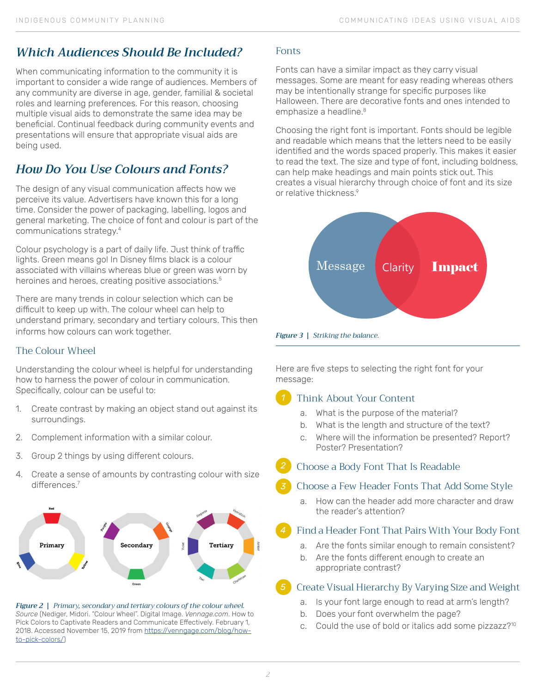# *Which Audiences Should Be Included?*

When communicating information to the community it is important to consider a wide range of audiences. Members of any community are diverse in age, gender, familial & societal roles and learning preferences. For this reason, choosing multiple visual aids to demonstrate the same idea may be beneficial. Continual feedback during community events and presentations will ensure that appropriate visual aids are being used.

# *How Do You Use Colours and Fonts?*

The design of any visual communication affects how we perceive its value. Advertisers have known this for a long time. Consider the power of packaging, labelling, logos and general marketing. The choice of font and colour is part of the communications strategy.<sup>4</sup>

Colour psychology is a part of daily life. Just think of traffic lights. Green means go! In Disney films black is a colour associated with villains whereas blue or green was worn by heroines and heroes, creating positive associations.<sup>5</sup>

There are many trends in colour selection which can be difficult to keep up with. The colour wheel can help to understand primary, secondary and tertiary colours. This then informs how colours can work together.

### The Colour Wheel

Understanding the colour wheel is helpful for understanding how to harness the power of colour in communication. Specifically, colour can be useful to:

- 1. Create contrast by making an object stand out against its surroundings.
- 2. Complement information with a similar colour.
- 3. Group 2 things by using different colours.
- 4. Create a sense of amounts by contrasting colour with size differences.<sup>7</sup>



*Figure 2 | Primary, secondary and tertiary colours of the colour wheel. Source* (Nediger, Midori. "Colour Wheel". Digital Image. *Vennage.com*. How to Pick Colors to Captivate Readers and Communicate Effectively. February 1, 2018. Accessed November 15, 2019 from https://venngage.com/blog/howto-pick-colors/)

### Fonts

Fonts can have a similar impact as they carry visual messages. Some are meant for easy reading whereas others may be intentionally strange for specific purposes like Halloween. There are decorative fonts and ones intended to emphasize a headline.<sup>8</sup>

Choosing the right font is important. Fonts should be legible and readable which means that the letters need to be easily identified and the words spaced properly. This makes it easier to read the text. The size and type of font, including boldness, can help make headings and main points stick out. This creates a visual hierarchy through choice of font and its size or relative thickness.<sup>9</sup>





Here are five steps to selecting the right font for your message:

#### Think About Your Content *1*

- a. What is the purpose of the material?
- b. What is the length and structure of the text?
- c. Where will the information be presented? Report? Poster? Presentation?
- Choose a Body Font That Is Readable *2*

#### Choose a Few Header Fonts That Add Some Style *3*

a. How can the header add more character and draw the reader's attention?

### Find a Header Font That Pairs With Your Body Font

- a. Are the fonts similar enough to remain consistent?
- b. Are the fonts different enough to create an appropriate contrast?

#### Create Visual Hierarchy By Varying Size and Weight *5*

- a. Is your font large enough to read at arm's length?
- b. Does your font overwhelm the page?
- c. Could the use of bold or italics add some pizzazz?<sup>10</sup>

*4*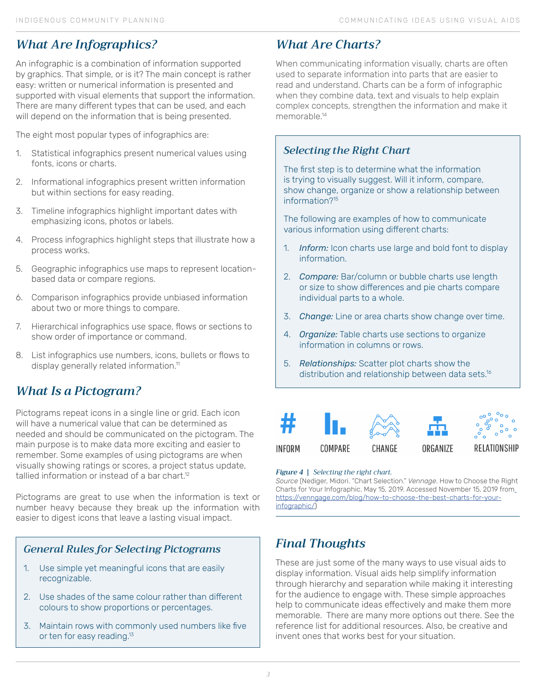# *What Are Infographics?*

An infographic is a combination of information supported by graphics. That simple, or is it? The main concept is rather easy: written or numerical information is presented and supported with visual elements that support the information. There are many different types that can be used, and each will depend on the information that is being presented.

The eight most popular types of infographics are:

- 1. Statistical infographics present numerical values using fonts, icons or charts.
- 2. Informational infographics present written information but within sections for easy reading.
- 3. Timeline infographics highlight important dates with emphasizing icons, photos or labels.
- 4. Process infographics highlight steps that illustrate how a process works.
- 5. Geographic infographics use maps to represent locationbased data or compare regions.
- 6. Comparison infographics provide unbiased information about two or more things to compare.
- 7. Hierarchical infographics use space, flows or sections to show order of importance or command.
- 8. List infographics use numbers, icons, bullets or flows to display generally related information.<sup>11</sup>

# *What Is a Pictogram?*

Pictograms repeat icons in a single line or grid. Each icon will have a numerical value that can be determined as needed and should be communicated on the pictogram. The main purpose is to make data more exciting and easier to remember. Some examples of using pictograms are when visually showing ratings or scores, a project status update, tallied information or instead of a bar chart.<sup>12</sup>

Pictograms are great to use when the information is text or number heavy because they break up the information with easier to digest icons that leave a lasting visual impact.

### *General Rules for Selecting Pictograms*

- 1. Use simple yet meaningful icons that are easily recognizable.
- 2. Use shades of the same colour rather than different colours to show proportions or percentages.
- 3. Maintain rows with commonly used numbers like five or ten for easy reading.<sup>13</sup>

# *What Are Charts?*

When communicating information visually, charts are often used to separate information into parts that are easier to read and understand. Charts can be a form of infographic when they combine data, text and visuals to help explain complex concepts, strengthen the information and make it memorable.14

### *Selecting the Right Chart*

The first step is to determine what the information is trying to visually suggest. Will it inform, compare, show change, organize or show a relationship between information?<sup>15</sup>

The following are examples of how to communicate various information using different charts:

- 1. *Inform:* Icon charts use large and bold font to display information.
- 2. *Compare:* Bar/column or bubble charts use length or size to show differences and pie charts compare individual parts to a whole.
- 3. *Change:* Line or area charts show change over time.
- 4. *Organize:* Table charts use sections to organize information in columns or rows.
- 5. *Relationships:* Scatter plot charts show the distribution and relationship between data sets.<sup>16</sup>



### *Figure 4 | Selecting the right chart.*

*Source* (Nediger, Midori. "Chart Selection." *Vennage*. How to Choose the Right Charts for Your Infographic. May 15, 2019. Accessed November 15, 2019 from https://venngage.com/blog/how-to-choose-the-best-charts-for-yourinfographic/)

# *Final Thoughts*

These are just some of the many ways to use visual aids to display information. Visual aids help simplify information through hierarchy and separation while making it interesting for the audience to engage with. These simple approaches help to communicate ideas effectively and make them more memorable. There are many more options out there. See the reference list for additional resources. Also, be creative and invent ones that works best for your situation.